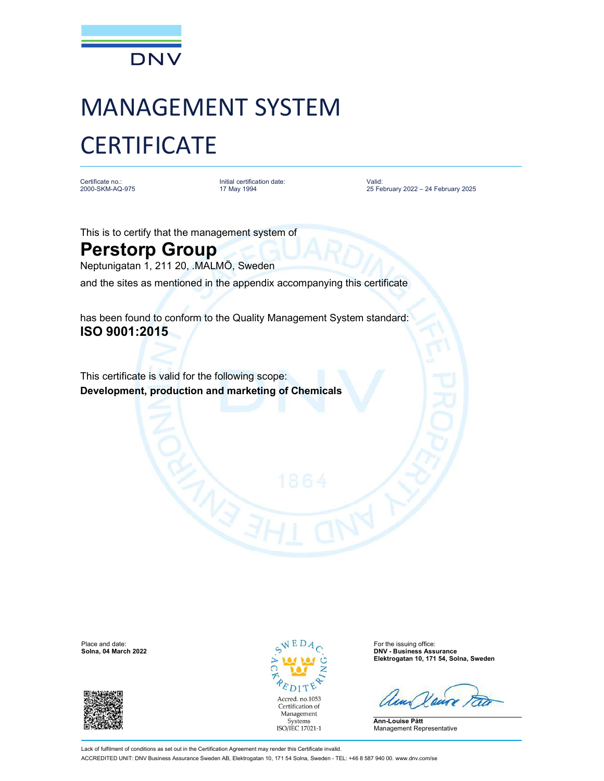

## MANAGEMENT SYSTEM **CERTIFICATE**

Certificate no.: 2000-SKM-AQ-975 Initial certification date: Valid: 17 May 1994

Valid: 25 February 2022 – 24 February 2025

This is to certify that the management system of

## Perstorp Group

Neptunigatan 1, 211 20, .MALMÖ, Sweden

and the sites as mentioned in the appendix accompanying this certificate

has been found to conform to the Quality Management System standard: ISO 9001:2015

This certificate is valid for the following scope: Development, production and marketing of Chemicals





**DNV - Business Assurance** Elektrogatan 10, 171 54, Solna, Sweden

Ann-Louise Pått Management Representative

Lack of fulfilment of conditions as set out in the Certification Agreement may render this Certificate invalid. ACCREDITED UNIT: DNV Business Assurance Sweden AB, Elektrogatan 10, 171 54 Solna, Sweden - TEL: +46 8 587 940 00. www.dnv.com/se